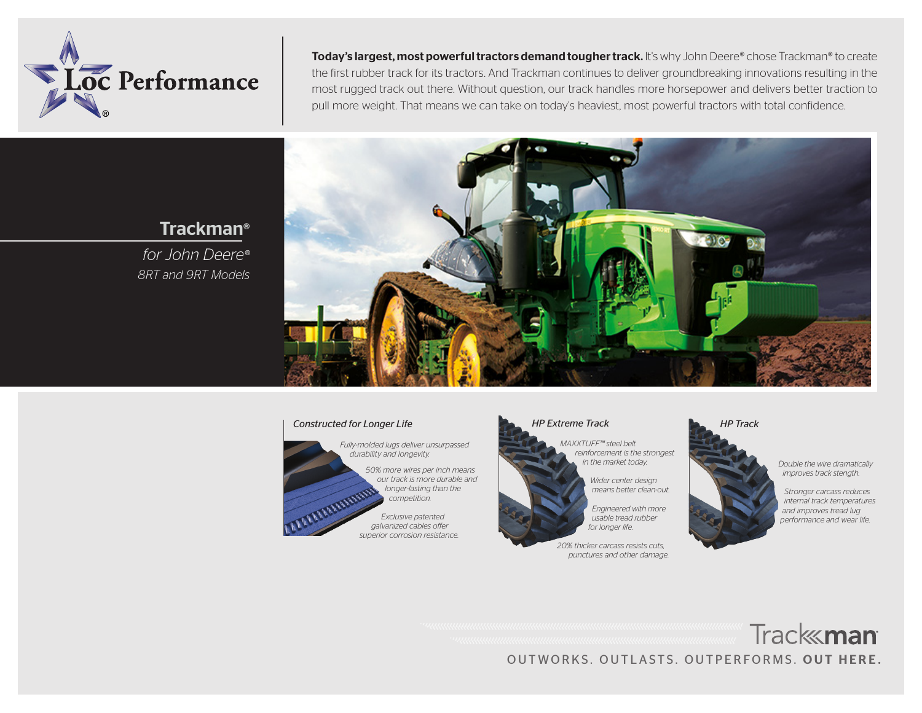

Today's largest, most powerful tractors demand tougher track. It's why John Deere® chose Trackman® to create the first rubber track for its tractors. And Trackman continues to deliver groundbreaking innovations resulting in the most rugged track out there. Without question, our track handles more horsepower and delivers better traction to pull more weight. That means we can take on today's heaviest, most powerful tractors with total confidence.

## Trackman®

*for John Deere® 8RT and 9RT Models*



### *Constructed for Longer Life*





 *20% thicker carcass resists cuts, punctures and other damage.*

*HP Track*

 *Double the wire dramatically improves track stength.*

 *Stronger carcass reduces internal track temperatures and improves tread lug performance and wear life.*

# OUTWORKS. OUTLASTS. OUTPERFORMS. OUT HERE.